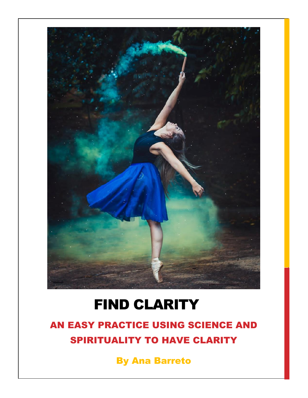

## FIND CLARITY

### AN EASY PRACTICE USING SCIENCE AND SPIRITUALITY TO HAVE CLARITY

By Ana Barreto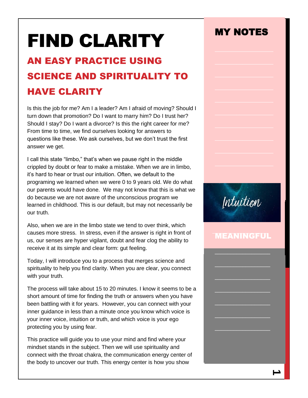# FIND CLARITY

## AN EASY PRACTICE USING SCIENCE AND SPIRITUALITY TO HAVE CLARITY

Is this the job for me? Am I a leader? Am I afraid of moving? Should I turn down that promotion? Do I want to marry him? Do I trust her? Should I stay? Do I want a divorce? Is this the right career for me? From time to time, we find ourselves looking for answers to questions like these. We ask ourselves, but we don't trust the first answer we get.

I call this state "limbo," that's when we pause right in the middle crippled by doubt or fear to make a mistake. When we are in limbo, it's hard to hear or trust our intuition. Often, we default to the programing we learned when we were 0 to 9 years old. We do what our parents would have done. We may not know that this is what we do because we are not aware of the unconscious program we learned in childhood. This is our default, but may not necessarily be our truth.

Also, when we are in the limbo state we tend to over think, which causes more stress. In stress, even if the answer is right in front of us, our senses are hyper vigilant, doubt and fear clog the ability to receive it at its simple and clear form: gut feeling.

Today, I will introduce you to a process that merges science and spirituality to help you find clarity. When you are clear, you connect with your truth.

The process will take about 15 to 20 minutes. I know it seems to be a short amount of time for finding the truth or answers when you have been battling with it for years. However, you can connect with your inner guidance in less than a minute once you know which voice is your inner voice, intuition or truth, and which voice is your ego protecting you by using fear.

This practice will guide you to use your mind and find where your mindset stands in the subject. Then we will use spirituality and connect with the throat chakra, the communication energy center of the body to uncover our truth. This energy center is how you show

## MY NOTES MY NOTES



#### MEANINGFUL

\_\_\_\_\_\_\_\_\_\_\_\_\_\_\_\_\_\_

 $\_$ 

\_\_\_\_\_\_\_\_\_\_\_\_\_\_\_\_\_\_

 $\_$ 

\_\_\_\_\_\_\_\_\_\_\_\_\_\_\_\_\_\_

 $\_$ 

 $\_$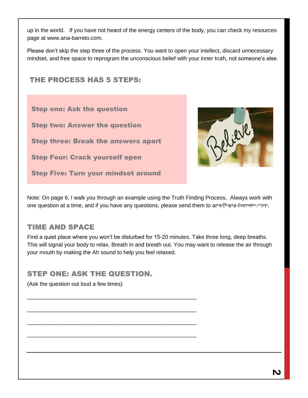up in the world. If you have not heard of the energy centers of the body, you can check my resources page at www.ana-barreto.com.

Please don't skip the step three of the process. You want to open your intellect, discard unnecessary mindset, and free space to reprogram the unconscious belief with your inner truth, not someone's else.

#### THE PROCESS HAS 5 STEPS:

Step one: Ask the question

Step two: Answer the question

Step three: Break the answers apart

Step Four: Crack yourself open

Step Five: Turn your mindset around



Note: On page 6, I walk you through an example using the Truth Finding Process. Always work with one question at a time, and if you have any questions, please send them to ana@ana-harreto.com,<br>.

#### TIME AND SPACE

Find a quiet place where you won't be disturbed for 15-20 minutes. Take three long, deep breaths. This will signal your body to relax. Breath in and breath out. You may want to release the air through your mouth by making the Ah sound to help you feel relaxed.  $\sim$ 

#### STEP ONE: ASK THE QUESTION.

\_\_\_\_\_\_\_\_\_\_\_\_\_\_\_\_\_\_\_\_\_\_\_\_\_\_\_\_\_\_\_\_\_\_\_\_\_\_\_\_\_\_\_\_\_\_\_\_\_\_\_\_\_\_\_

\_\_\_\_\_\_\_\_\_\_\_\_\_\_\_\_\_\_\_\_\_\_\_\_\_\_\_\_\_\_\_\_\_\_\_\_\_\_\_\_\_\_\_\_\_\_\_\_\_\_\_\_\_\_\_

\_\_\_\_\_\_\_\_\_\_\_\_\_\_\_\_\_\_\_\_\_\_\_\_\_\_\_\_\_\_\_\_\_\_\_\_\_\_\_\_\_\_\_\_\_\_\_\_\_\_\_\_\_\_\_

\_\_\_\_\_\_\_\_\_\_\_\_\_\_\_\_\_\_\_\_\_\_\_\_\_\_\_\_\_\_\_\_\_\_\_\_\_\_\_\_\_\_\_\_\_\_\_\_\_\_\_\_\_\_\_

(Ask the question out loud a few times)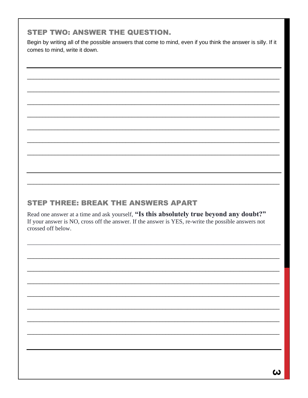#### **STEP TWO: ANSWER THE QUESTION.**

Begin by writing all of the possible answers that come to mind, even if you think the answer is silly. If it comes to mind, write it down.

#### **STEP THREE: BREAK THE ANSWERS APART**

Read one answer at a time and ask yourself, "Is this absolutely true beyond any doubt?" If your answer is NO, cross off the answer. If the answer is YES, re-write the possible answers not crossed off below.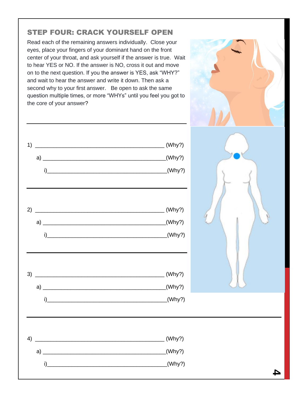#### STEP FOUR: CRACK YOURSELF OPEN

Read each of the remaining answers individually. Close your eyes, place your fingers of your dominant hand on the front center of your throat, and ask yourself if the answer is true. Wait to hear YES or NO. If the answer is NO, cross it out and move on to the next question. If you the answer is YES, ask "WHY?" and wait to hear the answer and write it down. Then ask a second why to your first answer. Be open to ask the same question multiple times, or more "WHYs" until you feel you got to the core of your answer?



**4**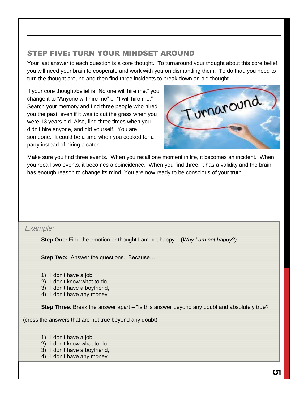#### STEP FIVE: TURN YOUR MINDSET AROUND

Your last answer to each question is a core thought. To turnaround your thought about this core belief, you will need your brain to cooperate and work with you on dismantling them. To do that, you need to turn the thought around and then find three incidents to break down an old thought.

If your core thought/belief is "No one will hire me," you change it to "Anyone will hire me" or "I will hire me." Search your memory and find three people who hired you the past, even if it was to cut the grass when you were 13 years old. Also, find three times when you didn't hire anyone, and did yourself. You are someone. It could be a time when you cooked for a party instead of hiring a caterer.



Make sure you find three events. When you recall one moment in life, it becomes an incident. When you recall two events, it becomes a coincidence. When you find three, it has a validity and the brain has enough reason to change its mind. You are now ready to be conscious of your truth.

#### *Example:*

**Step One:** Find the emotion or thought I am not happy **– (***Why I am not happy?)*

**Step Two:** Answer the questions. Because....

- 1) I don't have a job,
- 2) I don't know what to do,
- 3) I don't have a boyfriend,
- 4) I don't have any money

**Step Three**: Break the answer apart – "Is this answer beyond any doubt and absolutely true?

(cross the answers that are not true beyond any doubt)

- 1) I don't have a job
- 2) I don't know what to do,
- 3) I don't have a boyfriend,
- 4) I don't have any money